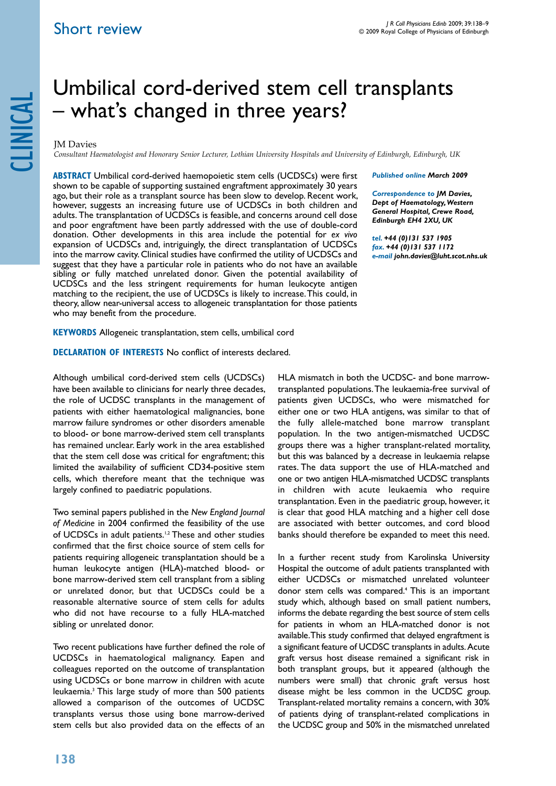# Short review

# clinical

# Umbilical cord-derived stem cell transplants – what's changed in three years?

JM Davies *Consultant Haematologist and Honorary Senior Lecturer, Lothian University Hospitals and University of Edinburgh, Edinburgh, UK*

**ABSTRACT** Umbilical cord-derived haemopoietic stem cells (UCDSCs) were first shown to be capable of supporting sustained engraftment approximately 30 years ago, but their role as a transplant source has been slow to develop. Recent work, however, suggests an increasing future use of UCDSCs in both children and adults. The transplantation of UCDSCs is feasible, and concerns around cell dose and poor engraftment have been partly addressed with the use of double-cord donation. Other developments in this area include the potential for *ex vivo* expansion of UCDSCs and, intriguingly, the direct transplantation of UCDSCs into the marrow cavity. Clinical studies have confirmed the utility of UCDSCs and suggest that they have a particular role in patients who do not have an available sibling or fully matched unrelated donor. Given the potential availability of UCDSCs and the less stringent requirements for human leukocyte antigen matching to the recipient, the use of UCDSCs is likely to increase. This could, in theory, allow near-universal access to allogeneic transplantation for those patients who may benefit from the procedure.

*Published online March 2009* 

*Correspondence to JM Davies, Dept of Haematology, Western General Hospital, Crewe Road, Edinburgh EH4 2XU, UK*

*tel. +44 (0)131 537 1905 fax. +44 (0)131 537 1172 e-mail john.davies@luht.scot.nhs.uk*

**KEYWORDS** Allogeneic transplantation, stem cells, umbilical cord

**DECLARATION OF INTERESTS No conflict of interests declared.** 

Although umbilical cord-derived stem cells (UCDSCs) have been available to clinicians for nearly three decades, the role of UCDSC transplants in the management of patients with either haematological malignancies, bone marrow failure syndromes or other disorders amenable to blood- or bone marrow-derived stem cell transplants has remained unclear. Early work in the area established that the stem cell dose was critical for engraftment; this limited the availability of sufficient CD34-positive stem cells, which therefore meant that the technique was largely confined to paediatric populations.

Two seminal papers published in the *New England Journal of Medicine* in 2004 confirmed the feasibility of the use of UCDSCs in adult patients.<sup>1,2</sup> These and other studies confirmed that the first choice source of stem cells for patients requiring allogeneic transplantation should be a human leukocyte antigen (HLA)-matched blood- or bone marrow-derived stem cell transplant from a sibling or unrelated donor, but that UCDSCs could be a reasonable alternative source of stem cells for adults who did not have recourse to a fully HLA-matched sibling or unrelated donor.

Two recent publications have further defined the role of UCDSCs in haematological malignancy. Eapen and colleagues reported on the outcome of transplantation using UCDSCs or bone marrow in children with acute leukaemia.3 This large study of more than 500 patients allowed a comparison of the outcomes of UCDSC transplants versus those using bone marrow-derived stem cells but also provided data on the effects of an

HLA mismatch in both the UCDSC- and bone marrowtransplanted populations. The leukaemia-free survival of patients given UCDSCs, who were mismatched for either one or two HLA antigens, was similar to that of the fully allele-matched bone marrow transplant population. In the two antigen-mismatched UCDSC groups there was a higher transplant-related mortality, but this was balanced by a decrease in leukaemia relapse rates. The data support the use of HLA-matched and one or two antigen HLA-mismatched UCDSC transplants in children with acute leukaemia who require transplantation. Even in the paediatric group, however, it is clear that good HLA matching and a higher cell dose are associated with better outcomes, and cord blood banks should therefore be expanded to meet this need.

In a further recent study from Karolinska University Hospital the outcome of adult patients transplanted with either UCDSCs or mismatched unrelated volunteer donor stem cells was compared.<sup>4</sup> This is an important study which, although based on small patient numbers, informs the debate regarding the best source of stem cells for patients in whom an HLA-matched donor is not available. This study confirmed that delayed engraftment is a significant feature of UCDSC transplants in adults. Acute graft versus host disease remained a significant risk in both transplant groups, but it appeared (although the numbers were small) that chronic graft versus host disease might be less common in the UCDSC group. Transplant-related mortality remains a concern, with 30% of patients dying of transplant-related complications in the UCDSC group and 50% in the mismatched unrelated